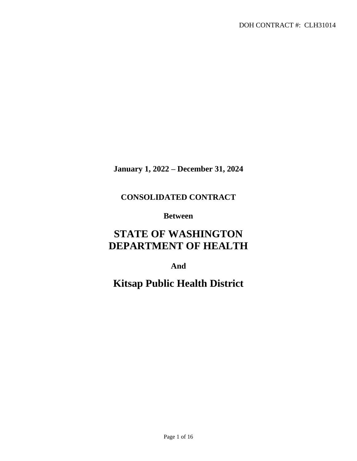**January 1, 2022 – December 31, 2024**

**CONSOLIDATED CONTRACT**

**Between**

# **STATE OF WASHINGTON DEPARTMENT OF HEALTH**

**And**

**Kitsap Public Health District**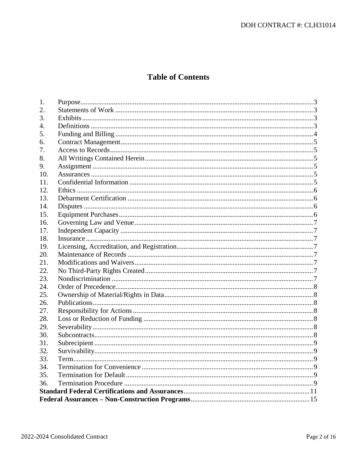# **Table of Contents**

| 1.  |  |  |
|-----|--|--|
| 2.  |  |  |
| 3.  |  |  |
| 4.  |  |  |
| 5.  |  |  |
| 6.  |  |  |
| 7.  |  |  |
| 8.  |  |  |
| 9.  |  |  |
| 10. |  |  |
| 11. |  |  |
| 12. |  |  |
| 13. |  |  |
| 14. |  |  |
| 15. |  |  |
| 16. |  |  |
| 17. |  |  |
| 18. |  |  |
| 19. |  |  |
| 20. |  |  |
| 21. |  |  |
| 22. |  |  |
| 23. |  |  |
| 24. |  |  |
| 25. |  |  |
| 26. |  |  |
| 27. |  |  |
| 28. |  |  |
| 29. |  |  |
| 30. |  |  |
| 31. |  |  |
| 32. |  |  |
| 33. |  |  |
| 34. |  |  |
| 35. |  |  |
| 36. |  |  |
|     |  |  |
|     |  |  |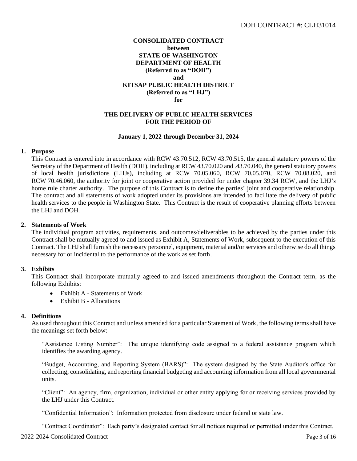## <span id="page-2-0"></span>**CONSOLIDATED CONTRACT between STATE OF WASHINGTON DEPARTMENT OF HEALTH (Referred to as "DOH") and KITSAP PUBLIC HEALTH DISTRICT (Referred to as "LHJ") for**

## **THE DELIVERY OF PUBLIC HEALTH SERVICES FOR THE PERIOD OF**

#### **January 1, 2022 through December 31, 2024**

#### **1. Purpose**

This Contract is entered into in accordance with RCW 43.70.512, RCW 43.70.515, the general statutory powers of the Secretary of the Department of Health (DOH), including at RCW 43.70.020 and .43.70.040, the general statutory powers of local health jurisdictions (LHJs), including at RCW 70.05.060, RCW 70.05.070, RCW 70.08.020, and RCW 70.46.060, the authority for joint or cooperative action provided for under chapter 39.34 RCW, and the LHJ's home rule charter authority. The purpose of this Contract is to define the parties' joint and cooperative relationship. The contract and all statements of work adopted under its provisions are intended to facilitate the delivery of public health services to the people in Washington State. This Contract is the result of cooperative planning efforts between the LHJ and DOH.

#### **2. Statements of Work**

The individual program activities, requirements, and outcomes/deliverables to be achieved by the parties under this Contract shall be mutually agreed to and issued as Exhibit A, Statements of Work, subsequent to the execution of this Contract. The LHJ shall furnish the necessary personnel, equipment, material and/or services and otherwise do all things necessary for or incidental to the performance of the work as set forth.

#### **3. Exhibits**

This Contract shall incorporate mutually agreed to and issued amendments throughout the Contract term, as the following Exhibits:

- Exhibit A Statements of Work
- Exhibit B Allocations

#### **4. Definitions**

As used throughout this Contract and unless amended for a particular Statement of Work, the following terms shall have the meanings set forth below:

"Assistance Listing Number": The unique identifying code assigned to a federal assistance program which identifies the awarding agency.

"Budget, Accounting, and Reporting System (BARS)": The system designed by the State Auditor's office for collecting, consolidating, and reporting financial budgeting and accounting information from all local governmental units.

"Client": An agency, firm, organization, individual or other entity applying for or receiving services provided by the LHJ under this Contract.

"Confidential Information": Information protected from disclosure under federal or state law.

"Contract Coordinator": Each party's designated contact for all notices required or permitted under this Contract.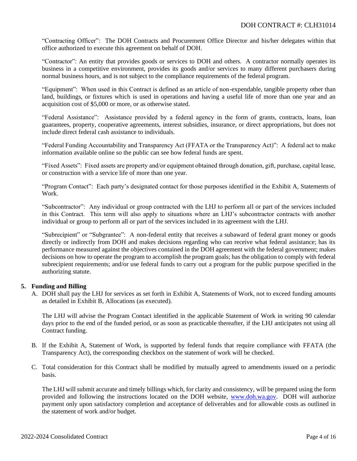<span id="page-3-0"></span>"Contracting Officer": The DOH Contracts and Procurement Office Director and his/her delegates within that office authorized to execute this agreement on behalf of DOH.

"Contractor": An entity that provides goods or services to DOH and others. A contractor normally operates its business in a competitive environment, provides its goods and/or services to many different purchasers during normal business hours, and is not subject to the compliance requirements of the federal program.

"Equipment": When used in this Contract is defined as an article of non-expendable, tangible property other than land, buildings, or fixtures which is used in operations and having a useful life of more than one year and an acquisition cost of \$5,000 or more, or as otherwise stated.

"Federal Assistance": Assistance provided by a federal agency in the form of grants, contracts, loans, loan guarantees, property, cooperative agreements, interest subsidies, insurance, or direct appropriations, but does not include direct federal cash assistance to individuals.

"Federal Funding Accountability and Transparency Act (FFATA or the Transparency Act)": A federal act to make information available online so the public can see how federal funds are spent.

"Fixed Assets": Fixed assets are property and/or equipment obtained through donation, gift, purchase, capital lease, or construction with a service life of more than one year.

"Program Contact": Each party's designated contact for those purposes identified in the Exhibit A, Statements of Work.

"Subcontractor": Any individual or group contracted with the LHJ to perform all or part of the services included in this Contract. This term will also apply to situations where an LHJ's subcontractor contracts with another individual or group to perform all or part of the services included in its agreement with the LHJ.

"Subrecipient" or "Subgrantee": A non-federal entity that receives a subaward of federal grant money or goods directly or indirectly from DOH and makes decisions regarding who can receive what federal assistance; has its performance measured against the objectives contained in the DOH agreement with the federal government; makes decisions on how to operate the program to accomplish the program goals; has the obligation to comply with federal subrecipient requirements; and/or use federal funds to carry out a program for the public purpose specified in the authorizing statute.

## **5. Funding and Billing**

A. DOH shall pay the LHJ for services as set forth in Exhibit A, Statements of Work, not to exceed funding amounts as detailed in Exhibit B, Allocations (as executed).

The LHJ will advise the Program Contact identified in the applicable Statement of Work in writing 90 calendar days prior to the end of the funded period, or as soon as practicable thereafter, if the LHJ anticipates not using all Contract funding.

- B. If the Exhibit A, Statement of Work, is supported by federal funds that require compliance with FFATA (the Transparency Act), the corresponding checkbox on the statement of work will be checked.
- C. Total consideration for this Contract shall be modified by mutually agreed to amendments issued on a periodic basis.

The LHJ will submit accurate and timely billings which, for clarity and consistency, will be prepared using the form provided and following the instructions located on the DOH website, [www.doh.wa.gov.](http://www.doh.wa.gov/) DOH will authorize payment only upon satisfactory completion and acceptance of deliverables and for allowable costs as outlined in the statement of work and/or budget.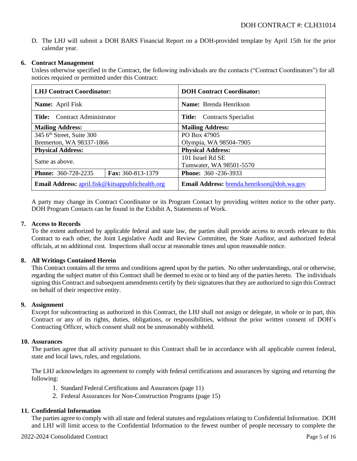<span id="page-4-0"></span>D. The LHJ will submit a DOH BARS Financial Report on a DOH-provided template by April 15th for the prior calendar year.

## **6. Contract Management**

Unless otherwise specified in the Contract, the following individuals are the contacts ("Contract Coordinators") for all notices required or permitted under this Contract:

| <b>LHJ</b> Contract Coordinator:                        |                   | <b>DOH Contract Coordinator:</b>           |  |
|---------------------------------------------------------|-------------------|--------------------------------------------|--|
| <b>Name:</b> April Fisk                                 |                   | <b>Name:</b> Brenda Henrikson              |  |
| <b>Title:</b> Contract Administrator                    |                   | <b>Title:</b> Contracts Specialist         |  |
| <b>Mailing Address:</b>                                 |                   | <b>Mailing Address:</b>                    |  |
| 345 6 <sup>th</sup> Street, Suite 300                   |                   | PO Box 47905                               |  |
| Bremerton, WA 98337-1866                                |                   | Olympia, WA 98504-7905                     |  |
| <b>Physical Address:</b>                                |                   | <b>Physical Address:</b>                   |  |
| Same as above.                                          |                   | 101 Israel Rd SE                           |  |
|                                                         |                   | Tumwater, WA 98501-5570                    |  |
| <b>Phone: 360-728-2235</b>                              | Fax: 360-813-1379 | <b>Phone:</b> 360 -236-3933                |  |
| <b>Email Address: april.fisk@kitsappublichealth.org</b> |                   | Email Address: brenda.henrikson@doh.wa.gov |  |

A party may change its Contract Coordinator or its Program Contact by providing written notice to the other party. DOH Program Contacts can be found in the Exhibit A, Statements of Work.

## **7. Access to Records**

To the extent authorized by applicable federal and state law, the parties shall provide access to records relevant to this Contract to each other, the Joint Legislative Audit and Review Committee, the State Auditor, and authorized federal officials, at no additional cost. Inspections shall occur at reasonable times and upon reasonable notice.

## **8. All Writings Contained Herein**

This Contract contains all the terms and conditions agreed upon by the parties. No other understandings, oral or otherwise, regarding the subject matter of this Contract shall be deemed to exist or to bind any of the parties hereto. The individuals signing this Contract and subsequent amendments certify by their signatures that they are authorized to sign this Contract on behalf of their respective entity.

## **9. Assignment**

Except for subcontracting as authorized in this Contract, the LHJ shall not assign or delegate, in whole or in part, this Contract or any of its rights, duties, obligations, or responsibilities, without the prior written consent of DOH's Contracting Officer, which consent shall not be unreasonably withheld.

## **10. Assurances**

The parties agree that all activity pursuant to this Contract shall be in accordance with all applicable current federal, state and local laws, rules, and regulations.

The LHJ acknowledges its agreement to comply with federal certifications and assurances by signing and returning the following:

- 1. Standard Federal Certifications and Assurances (page 11)
- 2. Federal Assurances for Non-Construction Programs (page 15)

#### **11. Confidential Information**

The parties agree to comply with all state and federal statutes and regulations relating to Confidential Information. DOH and LHJ will limit access to the Confidential Information to the fewest number of people necessary to complete the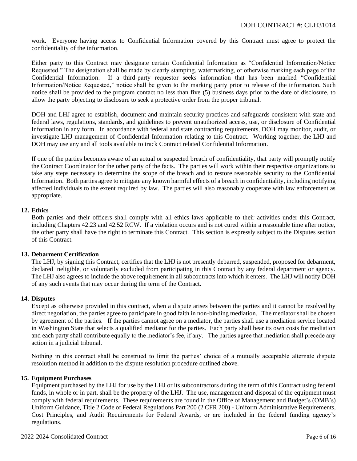<span id="page-5-0"></span>work. Everyone having access to Confidential Information covered by this Contract must agree to protect the confidentiality of the information.

Either party to this Contract may designate certain Confidential Information as "Confidential Information/Notice Requested." The designation shall be made by clearly stamping, watermarking, or otherwise marking each page of the Confidential Information. If a third-party requestor seeks information that has been marked "Confidential Information/Notice Requested," notice shall be given to the marking party prior to release of the information. Such notice shall be provided to the program contact no less than five (5) business days prior to the date of disclosure, to allow the party objecting to disclosure to seek a protective order from the proper tribunal.

DOH and LHJ agree to establish, document and maintain security practices and safeguards consistent with state and federal laws, regulations, standards, and guidelines to prevent unauthorized access, use, or disclosure of Confidential Information in any form. In accordance with federal and state contracting requirements, DOH may monitor, audit, or investigate LHJ management of Confidential Information relating to this Contract. Working together, the LHJ and DOH may use any and all tools available to track Contract related Confidential Information.

If one of the parties becomes aware of an actual or suspected breach of confidentiality, that party will promptly notify the Contract Coordinator for the other party of the facts. The parties will work within their respective organizations to take any steps necessary to determine the scope of the breach and to restore reasonable security to the Confidential Information. Both parties agree to mitigate any known harmful effects of a breach in confidentiality, including notifying affected individuals to the extent required by law. The parties will also reasonably cooperate with law enforcement as appropriate.

## **12. Ethics**

Both parties and their officers shall comply with all ethics laws applicable to their activities under this Contract, including Chapters 42.23 and 42.52 RCW. If a violation occurs and is not cured within a reasonable time after notice, the other party shall have the right to terminate this Contract. This section is expressly subject to the Disputes section of this Contract.

## **13. Debarment Certification**

The LHJ, by signing this Contract, certifies that the LHJ is not presently debarred, suspended, proposed for debarment, declared ineligible, or voluntarily excluded from participating in this Contract by any federal department or agency. The LHJ also agrees to include the above requirement in all subcontracts into which it enters. The LHJ will notify DOH of any such events that may occur during the term of the Contract.

#### **14. Disputes**

Except as otherwise provided in this contract, when a dispute arises between the parties and it cannot be resolved by direct negotiation, the parties agree to participate in good faith in non-binding mediation. The mediator shall be chosen by agreement of the parties. If the parties cannot agree on a mediator, the parties shall use a mediation service located in Washington State that selects a qualified mediator for the parties. Each party shall bear its own costs for mediation and each party shall contribute equally to the mediator's fee, if any. The parties agree that mediation shall precede any action in a judicial tribunal.

Nothing in this contract shall be construed to limit the parties' choice of a mutually acceptable alternate dispute resolution method in addition to the dispute resolution procedure outlined above.

#### **15. Equipment Purchases**

Equipment purchased by the LHJ for use by the LHJ or its subcontractors during the term of this Contract using federal funds, in whole or in part, shall be the property of the LHJ. The use, management and disposal of the equipment must comply with federal requirements. These requirements are found in the Office of Management and Budget's (OMB's) Uniform Guidance, Title 2 Code of Federal Regulations Part 200 (2 CFR 200) - Uniform Administrative Requirements, Cost Principles, and Audit Requirements for Federal Awards, or are included in the federal funding agency's regulations.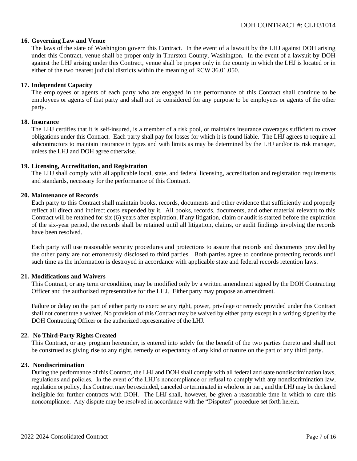#### <span id="page-6-0"></span>**16. Governing Law and Venue**

The laws of the state of Washington govern this Contract. In the event of a lawsuit by the LHJ against DOH arising under this Contract, venue shall be proper only in Thurston County, Washington. In the event of a lawsuit by DOH against the LHJ arising under this Contract, venue shall be proper only in the county in which the LHJ is located or in either of the two nearest judicial districts within the meaning of RCW 36.01.050.

### **17. Independent Capacity**

The employees or agents of each party who are engaged in the performance of this Contract shall continue to be employees or agents of that party and shall not be considered for any purpose to be employees or agents of the other party.

#### **18. Insurance**

The LHJ certifies that it is self-insured, is a member of a risk pool, or maintains insurance coverages sufficient to cover obligations under this Contract. Each party shall pay for losses for which it is found liable. The LHJ agrees to require all subcontractors to maintain insurance in types and with limits as may be determined by the LHJ and/or its risk manager, unless the LHJ and DOH agree otherwise.

#### **19. Licensing, Accreditation, and Registration**

The LHJ shall comply with all applicable local, state, and federal licensing, accreditation and registration requirements and standards, necessary for the performance of this Contract.

#### **20. Maintenance of Records**

Each party to this Contract shall maintain books, records, documents and other evidence that sufficiently and properly reflect all direct and indirect costs expended by it. All books, records, documents, and other material relevant to this Contract will be retained for six (6) years after expiration. If any litigation, claim or audit is started before the expiration of the six-year period, the records shall be retained until all litigation, claims, or audit findings involving the records have been resolved.

Each party will use reasonable security procedures and protections to assure that records and documents provided by the other party are not erroneously disclosed to third parties. Both parties agree to continue protecting records until such time as the information is destroyed in accordance with applicable state and federal records retention laws.

## **21. Modifications and Waivers**

This Contract, or any term or condition, may be modified only by a written amendment signed by the DOH Contracting Officer and the authorized representative for the LHJ. Either party may propose an amendment.

Failure or delay on the part of either party to exercise any right, power, privilege or remedy provided under this Contract shall not constitute a waiver. No provision of this Contract may be waived by either party except in a writing signed by the DOH Contracting Officer or the authorized representative of the LHJ.

## **22. No Third-Party Rights Created**

This Contract, or any program hereunder, is entered into solely for the benefit of the two parties thereto and shall not be construed as giving rise to any right, remedy or expectancy of any kind or nature on the part of any third party.

## **23. Nondiscrimination**

During the performance of this Contract, the LHJ and DOH shall comply with all federal and state nondiscrimination laws, regulations and policies. In the event of the LHJ's noncompliance or refusal to comply with any nondiscrimination law, regulation or policy, this Contract may be rescinded, canceled or terminated in whole or in part, and the LHJ may be declared ineligible for further contracts with DOH. The LHJ shall, however, be given a reasonable time in which to cure this noncompliance. Any dispute may be resolved in accordance with the "Disputes" procedure set forth herein.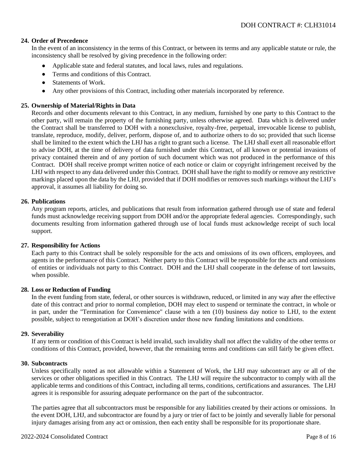## <span id="page-7-0"></span>**24. Order of Precedence**

In the event of an inconsistency in the terms of this Contract, or between its terms and any applicable statute or rule, the inconsistency shall be resolved by giving precedence in the following order:

- Applicable state and federal statutes, and local laws, rules and regulations.
- Terms and conditions of this Contract.
- Statements of Work.
- Any other provisions of this Contract, including other materials incorporated by reference.

## **25. Ownership of Material/Rights in Data**

Records and other documents relevant to this Contract, in any medium, furnished by one party to this Contract to the other party, will remain the property of the furnishing party, unless otherwise agreed. Data which is delivered under the Contract shall be transferred to DOH with a nonexclusive, royalty-free, perpetual, irrevocable license to publish, translate, reproduce, modify, deliver, perform, dispose of, and to authorize others to do so; provided that such license shall be limited to the extent which the LHJ has a right to grant such a license. The LHJ shall exert all reasonable effort to advise DOH, at the time of delivery of data furnished under this Contract, of all known or potential invasions of privacy contained therein and of any portion of such document which was not produced in the performance of this Contract. DOH shall receive prompt written notice of each notice or claim or copyright infringement received by the LHJ with respect to any data delivered under this Contract. DOH shall have the right to modify or remove any restrictive markings placed upon the data by the LHJ, provided that if DOH modifies or removes such markings without the LHJ's approval, it assumes all liability for doing so.

## **26. Publications**

Any program reports, articles, and publications that result from information gathered through use of state and federal funds must acknowledge receiving support from DOH and/or the appropriate federal agencies. Correspondingly, such documents resulting from information gathered through use of local funds must acknowledge receipt of such local support.

## **27. Responsibility for Actions**

Each party to this Contract shall be solely responsible for the acts and omissions of its own officers, employees, and agents in the performance of this Contract. Neither party to this Contract will be responsible for the acts and omissions of entities or individuals not party to this Contract. DOH and the LHJ shall cooperate in the defense of tort lawsuits, when possible.

## **28. Loss or Reduction of Funding**

In the event funding from state, federal, or other sources is withdrawn, reduced, or limited in any way after the effective date of this contract and prior to normal completion, DOH may elect to suspend or terminate the contract, in whole or in part, under the "Termination for Convenience" clause with a ten (10) business day notice to LHJ, to the extent possible, subject to renegotiation at DOH's discretion under those new funding limitations and conditions.

## **29. Severability**

If any term or condition of this Contract is held invalid, such invalidity shall not affect the validity of the other terms or conditions of this Contract, provided, however, that the remaining terms and conditions can still fairly be given effect.

#### **30. Subcontracts**

Unless specifically noted as not allowable within a Statement of Work, the LHJ may subcontract any or all of the services or other obligations specified in this Contract. The LHJ will require the subcontractor to comply with all the applicable terms and conditions of this Contract, including all terms, conditions, certifications and assurances. The LHJ agrees it is responsible for assuring adequate performance on the part of the subcontractor.

The parties agree that all subcontractors must be responsible for any liabilities created by their actions or omissions. In the event DOH, LHJ, and subcontractor are found by a jury or trier of fact to be jointly and severally liable for personal injury damages arising from any act or omission, then each entity shall be responsible for its proportionate share.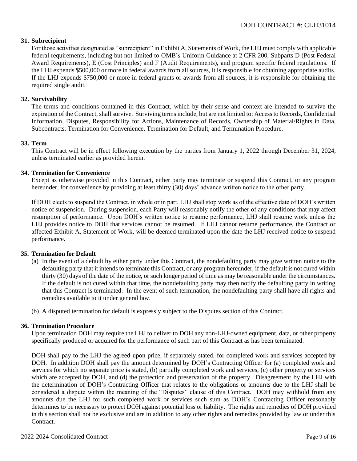## <span id="page-8-0"></span>**31. Subrecipient**

For those activities designated as "subrecipient" in Exhibit A, Statements of Work, the LHJ must comply with applicable federal requirements, including but not limited to OMB's Uniform Guidance at 2 CFR 200, Subparts D (Post Federal Award Requirements), E (Cost Principles) and F (Audit Requirements), and program specific federal regulations. If the LHJ expends \$500,000 or more in federal awards from all sources, it is responsible for obtaining appropriate audits. If the LHJ expends \$750,000 or more in federal grants or awards from all sources, it is responsible for obtaining the required single audit.

## **32. Survivability**

The terms and conditions contained in this Contract, which by their sense and context are intended to survive the expiration of the Contract, shall survive. Surviving terms include, but are not limited to: Access to Records, Confidential Information, Disputes, Responsibility for Actions, Maintenance of Records, Ownership of Material/Rights in Data, Subcontracts, Termination for Convenience, Termination for Default, and Termination Procedure.

## **33. Term**

This Contract will be in effect following execution by the parties from January 1, 2022 through December 31, 2024, unless terminated earlier as provided herein.

## **34. Termination for Convenience**

Except as otherwise provided in this Contract, either party may terminate or suspend this Contract, or any program hereunder, for convenience by providing at least thirty (30) days' advance written notice to the other party.

If DOH elects to suspend the Contract, in whole or in part, LHJ shall stop work as of the effective date of DOH's written notice of suspension. During suspension, each Party will reasonably notify the other of any conditions that may affect resumption of performance. Upon DOH's written notice to resume performance, LHJ shall resume work unless the LHJ provides notice to DOH that services cannot be resumed. If LHJ cannot resume performance, the Contract or affected Exhibit A, Statement of Work, will be deemed terminated upon the date the LHJ received notice to suspend performance.

## **35. Termination for Default**

- (a) In the event of a default by either party under this Contract, the nondefaulting party may give written notice to the defaulting party that it intends to terminate this Contract, or any program hereunder, if the default is not cured within thirty (30) days of the date of the notice, or such longer period of time as may be reasonable under the circumstances. If the default is not cured within that time, the nondefaulting party may then notify the defaulting party in writing that this Contract is terminated. In the event of such termination, the nondefaulting party shall have all rights and remedies available to it under general law.
- (b) A disputed termination for default is expressly subject to the Disputes section of this Contract.

## **36. Termination Procedure**

Upon termination DOH may require the LHJ to deliver to DOH any non-LHJ-owned equipment, data, or other property specifically produced or acquired for the performance of such part of this Contract as has been terminated.

DOH shall pay to the LHJ the agreed upon price, if separately stated, for completed work and services accepted by DOH. In addition DOH shall pay the amount determined by DOH's Contracting Officer for (a) completed work and services for which no separate price is stated, (b) partially completed work and services, (c) other property or services which are accepted by DOH, and (d) the protection and preservation of the property. Disagreement by the LHJ with the determination of DOH's Contracting Officer that relates to the obligations or amounts due to the LHJ shall be considered a dispute within the meaning of the "Disputes" clause of this Contract. DOH may withhold from any amounts due the LHJ for such completed work or services such sum as DOH's Contracting Officer reasonably determines to be necessary to protect DOH against potential loss or liability. The rights and remedies of DOH provided in this section shall not be exclusive and are in addition to any other rights and remedies provided by law or under this Contract.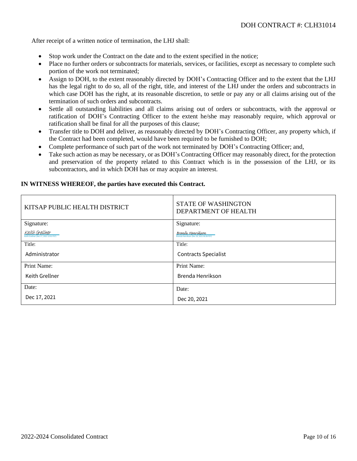After receipt of a written notice of termination, the LHJ shall:

- Stop work under the Contract on the date and to the extent specified in the notice;
- Place no further orders or subcontracts for materials, services, or facilities, except as necessary to complete such portion of the work not terminated;
- Assign to DOH, to the extent reasonably directed by DOH's Contracting Officer and to the extent that the LHJ has the legal right to do so, all of the right, title, and interest of the LHJ under the orders and subcontracts in which case DOH has the right, at its reasonable discretion, to settle or pay any or all claims arising out of the termination of such orders and subcontracts.
- Settle all outstanding liabilities and all claims arising out of orders or subcontracts, with the approval or ratification of DOH's Contracting Officer to the extent he/she may reasonably require, which approval or ratification shall be final for all the purposes of this clause;
- Transfer title to DOH and deliver, as reasonably directed by DOH's Contracting Officer, any property which, if the Contract had been completed, would have been required to be furnished to DOH;
- Complete performance of such part of the work not terminated by DOH's Contracting Officer; and,
- Take such action as may be necessary, or as DOH's Contracting Officer may reasonably direct, for the protection and preservation of the property related to this Contract which is in the possession of the LHJ, or its subcontractors, and in which DOH has or may acquire an interest.

| KITSAP PUBLIC HEALTH DISTRICT                             | <b>STATE OF WASHINGTON</b><br>DEPARTMENT OF HEALTH            |
|-----------------------------------------------------------|---------------------------------------------------------------|
| Signature:                                                | Signature:                                                    |
| Keith Grellner<br>Keith Grellner (Dec 17, 2021 12:01 PST) | Brenda Henrikson<br>Brenda Henrikson (Dec 20, 2021 06:58 PST) |
| Title:                                                    | Title:                                                        |
| Administrator                                             | <b>Contracts Specialist</b>                                   |
| Print Name:                                               | Print Name:                                                   |
| Keith Grellner                                            | Brenda Henrikson                                              |
| Date:                                                     | Date:                                                         |
| Dec 17, 2021                                              | Dec 20, 2021                                                  |

#### **IN WITNESS WHEREOF, the parties have executed this Contract.**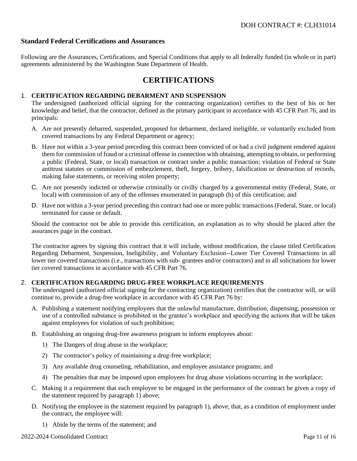## <span id="page-10-0"></span>**Standard Federal Certifications and Assurances**

Following are the Assurances, Certifications, and Special Conditions that apply to all federally funded (in whole or in part) agreements administered by the Washington State Department of Health.

## **CERTIFICATIONS**

#### 1. **CERTIFICATION REGARDING DEBARMENT AND SUSPENSION**

The undersigned (authorized official signing for the contracting organization) certifies to the best of his or her knowledge and belief, that the contractor, defined as the primary participant in accordance with 45 CFR Part 76, and its principals:

- A. Are not presently debarred, suspended, proposed for debarment, declared ineligible, or voluntarily excluded from covered transactions by any Federal Department or agency;
- B. Have not within a 3-year period preceding this contract been convicted of or had a civil judgment rendered against them for commission of fraud or a criminal offense in connection with obtaining, attempting to obtain, or performing a public (Federal, State, or local) transaction or contract under a public transaction; violation of Federal or State antitrust statutes or commission of embezzlement, theft, forgery, bribery, falsification or destruction of records, making false statements, or receiving stolen property;
- C. Are not presently indicted or otherwise criminally or civilly charged by a governmental entity (Federal, State, or local) with commission of any of the offenses enumerated in paragraph (b) of this certification; and
- D. Have not within a 3-year period preceding this contract had one or more public transactions (Federal, State, or local) terminated for cause or default.

Should the contractor not be able to provide this certification, an explanation as to why should be placed after the assurances page in the contract.

The contractor agrees by signing this contract that it will include, without modification, the clause titled Certification Regarding Debarment, Suspension, Ineligibility, and Voluntary Exclusion--Lower Tier Covered Transactions in all lower tier covered transactions (i.e., transactions with sub- grantees and/or contractors) and in all solicitations for lower tier covered transactions in accordance with 45 CFR Part 76.

## 2. **CERTIFICATION REGARDING DRUG-FREE WORKPLACE REQUIREMENTS**

The undersigned (authorized official signing for the contracting organization) certifies that the contractor will, or will continue to, provide a drug-free workplace in accordance with 45 CFR Part 76 by:

- A. Publishing a statement notifying employees that the unlawful manufacture, distribution, dispensing, possession or use of a controlled substance is prohibited in the grantee's workplace and specifying the actions that will be taken against employees for violation of such prohibition;
- B. Establishing an ongoing drug-free awareness program to inform employees about:
	- 1) The Dangers of drug abuse in the workplace;
	- 2) The contractor's policy of maintaining a drug-free workplace;
	- 3) Any available drug counseling, rehabilitation, and employee assistance programs; and
	- 4) The penalties that may be imposed upon employees for drug abuse violations occurring in the workplace;
- C. Making it a requirement that each employee to be engaged in the performance of the contract be given a copy of the statement required by paragraph 1) above;
- D. Notifying the employee in the statement required by paragraph 1), above, that, as a condition of employment under the contract, the employee will:
	- 1) Abide by the terms of the statement; and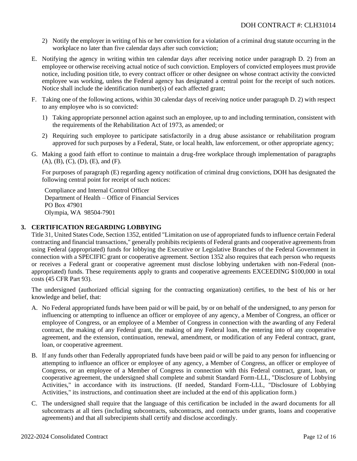- 2) Notify the employer in writing of his or her conviction for a violation of a criminal drug statute occurring in the workplace no later than five calendar days after such conviction;
- E. Notifying the agency in writing within ten calendar days after receiving notice under paragraph D. 2) from an employee or otherwise receiving actual notice of such conviction. Employers of convicted employees must provide notice, including position title, to every contract officer or other designee on whose contract activity the convicted employee was working, unless the Federal agency has designated a central point for the receipt of such notices. Notice shall include the identification number(s) of each affected grant;
- F. Taking one of the following actions, within 30 calendar days of receiving notice under paragraph D. 2) with respect to any employee who is so convicted:
	- 1) Taking appropriate personnel action against such an employee, up to and including termination, consistent with the requirements of the Rehabilitation Act of 1973, as amended; or
	- 2) Requiring such employee to participate satisfactorily in a drug abuse assistance or rehabilitation program approved for such purposes by a Federal, State, or local health, law enforcement, or other appropriate agency;
- G. Making a good faith effort to continue to maintain a drug-free workplace through implementation of paragraphs (A), (B), (C), (D), (E), and (F).

For purposes of paragraph (E) regarding agency notification of criminal drug convictions, DOH has designated the following central point for receipt of such notices:

Compliance and Internal Control Officer Department of Health – Office of Financial Services PO Box 47901 Olympia, WA 98504-7901

## **3. CERTIFICATION REGARDING LOBBYING**

Title 31, United States Code, Section 1352, entitled "Limitation on use of appropriated funds to influence certain Federal contracting and financial transactions," generally prohibits recipients of Federal grants and cooperative agreements from using Federal (appropriated) funds for lobbying the Executive or Legislative Branches of the Federal Government in connection with a SPECIFIC grant or cooperative agreement. Section 1352 also requires that each person who requests or receives a Federal grant or cooperative agreement must disclose lobbying undertaken with non-Federal (nonappropriated) funds. These requirements apply to grants and cooperative agreements EXCEEDING \$100,000 in total costs (45 CFR Part 93).

The undersigned (authorized official signing for the contracting organization) certifies, to the best of his or her knowledge and belief, that:

- A. No Federal appropriated funds have been paid or will be paid, by or on behalf of the undersigned, to any person for influencing or attempting to influence an officer or employee of any agency, a Member of Congress, an officer or employee of Congress, or an employee of a Member of Congress in connection with the awarding of any Federal contract, the making of any Federal grant, the making of any Federal loan, the entering into of any cooperative agreement, and the extension, continuation, renewal, amendment, or modification of any Federal contract, grant, loan, or cooperative agreement.
- B. If any funds other than Federally appropriated funds have been paid or will be paid to any person for influencing or attempting to influence an officer or employee of any agency, a Member of Congress, an officer or employee of Congress, or an employee of a Member of Congress in connection with this Federal contract, grant, loan, or cooperative agreement, the undersigned shall complete and submit Standard Form-LLL, "Disclosure of Lobbying Activities," in accordance with its instructions. (If needed, Standard Form-LLL, "Disclosure of Lobbying Activities," its instructions, and continuation sheet are included at the end of this application form.)
- C. The undersigned shall require that the language of this certification be included in the award documents for all subcontracts at all tiers (including subcontracts, subcontracts, and contracts under grants, loans and cooperative agreements) and that all subrecipients shall certify and disclose accordingly.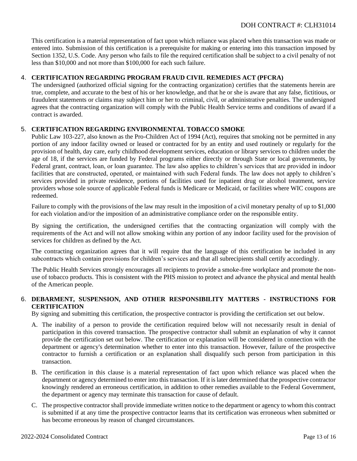This certification is a material representation of fact upon which reliance was placed when this transaction was made or entered into. Submission of this certification is a prerequisite for making or entering into this transaction imposed by Section 1352, U.S. Code. Any person who fails to file the required certification shall be subject to a civil penalty of not less than \$10,000 and not more than \$100,000 for each such failure.

## 4. **CERTIFICATION REGARDING PROGRAM FRAUD CIVIL REMEDIES ACT (PFCRA)**

The undersigned (authorized official signing for the contracting organization) certifies that the statements herein are true, complete, and accurate to the best of his or her knowledge, and that he or she is aware that any false, fictitious, or fraudulent statements or claims may subject him or her to criminal, civil, or administrative penalties. The undersigned agrees that the contracting organization will comply with the Public Health Service terms and conditions of award if a contract is awarded.

## 5. **CERTIFICATION REGARDING ENVIRONMENTAL TOBACCO SMOKE**

Public Law 103-227, also known as the Pro-Children Act of 1994 (Act), requires that smoking not be permitted in any portion of any indoor facility owned or leased or contracted for by an entity and used routinely or regularly for the provision of health, day care, early childhood development services, education or library services to children under the age of 18, if the services are funded by Federal programs either directly or through State or local governments, by Federal grant, contract, loan, or loan guarantee. The law also applies to children's services that are provided in indoor facilities that are constructed, operated, or maintained with such Federal funds. The law does not apply to children's services provided in private residence, portions of facilities used for inpatient drug or alcohol treatment, service providers whose sole source of applicable Federal funds is Medicare or Medicaid, or facilities where WIC coupons are redeemed.

Failure to comply with the provisions of the law may result in the imposition of a civil monetary penalty of up to \$1,000 for each violation and/or the imposition of an administrative compliance order on the responsible entity.

By signing the certification, the undersigned certifies that the contracting organization will comply with the requirements of the Act and will not allow smoking within any portion of any indoor facility used for the provision of services for children as defined by the Act.

The contracting organization agrees that it will require that the language of this certification be included in any subcontracts which contain provisions for children's services and that all subrecipients shall certify accordingly.

The Public Health Services strongly encourages all recipients to provide a smoke-free workplace and promote the nonuse of tobacco products. This is consistent with the PHS mission to protect and advance the physical and mental health of the American people.

## 6. **DEBARMENT, SUSPENSION, AND OTHER RESPONSIBILITY MATTERS - INSTRUCTIONS FOR CERTIFICATION**

By signing and submitting this certification, the prospective contractor is providing the certification set out below.

- A. The inability of a person to provide the certification required below will not necessarily result in denial of participation in this covered transaction. The prospective contractor shall submit an explanation of why it cannot provide the certification set out below. The certification or explanation will be considered in connection with the department or agency's determination whether to enter into this transaction. However, failure of the prospective contractor to furnish a certification or an explanation shall disqualify such person from participation in this transaction.
- B. The certification in this clause is a material representation of fact upon which reliance was placed when the department or agency determined to enter into this transaction. If it is later determined that the prospective contractor knowingly rendered an erroneous certification, in addition to other remedies available to the Federal Government, the department or agency may terminate this transaction for cause of default.
- C. The prospective contractor shall provide immediate written notice to the department or agency to whom this contract is submitted if at any time the prospective contractor learns that its certification was erroneous when submitted or has become erroneous by reason of changed circumstances.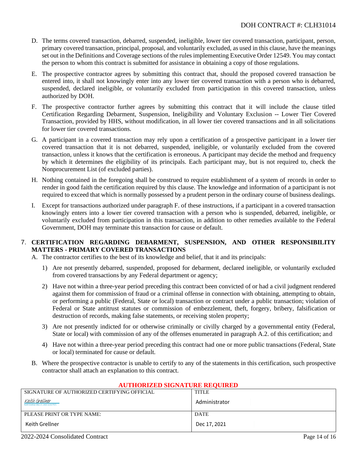- D. The terms covered transaction, debarred, suspended, ineligible, lower tier covered transaction, participant, person, primary covered transaction, principal, proposal, and voluntarily excluded, as used in this clause, have the meanings set out in the Definitions and Coverage sections of the rules implementing Executive Order 12549. You may contact the person to whom this contract is submitted for assistance in obtaining a copy of those regulations.
- E. The prospective contractor agrees by submitting this contract that, should the proposed covered transaction be entered into, it shall not knowingly enter into any lower tier covered transaction with a person who is debarred, suspended, declared ineligible, or voluntarily excluded from participation in this covered transaction, unless authorized by DOH.
- F. The prospective contractor further agrees by submitting this contract that it will include the clause titled Certification Regarding Debarment, Suspension, Ineligibility and Voluntary Exclusion -- Lower Tier Covered Transaction, provided by HHS, without modification, in all lower tier covered transactions and in all solicitations for lower tier covered transactions.
- G. A participant in a covered transaction may rely upon a certification of a prospective participant in a lower tier covered transaction that it is not debarred, suspended, ineligible, or voluntarily excluded from the covered transaction, unless it knows that the certification is erroneous. A participant may decide the method and frequency by which it determines the eligibility of its principals. Each participant may, but is not required to, check the Nonprocurement List (of excluded parties).
- H. Nothing contained in the foregoing shall be construed to require establishment of a system of records in order to render in good faith the certification required by this clause. The knowledge and information of a participant is not required to exceed that which is normally possessed by a prudent person in the ordinary course of business dealings.
- I. Except for transactions authorized under paragraph F. of these instructions, if a participant in a covered transaction knowingly enters into a lower tier covered transaction with a person who is suspended, debarred, ineligible, or voluntarily excluded from participation in this transaction, in addition to other remedies available to the Federal Government, DOH may terminate this transaction for cause or default.

## 7. **CERTIFICATION REGARDING DEBARMENT, SUSPENSION, AND OTHER RESPONSIBILITY MATTERS - PRIMARY COVERED TRANSACTIONS**

A. The contractor certifies to the best of its knowledge and belief, that it and its principals:

- 1) Are not presently debarred, suspended, proposed for debarment, declared ineligible, or voluntarily excluded from covered transactions by any Federal department or agency;
- 2) Have not within a three-year period preceding this contract been convicted of or had a civil judgment rendered against them for commission of fraud or a criminal offense in connection with obtaining, attempting to obtain, or performing a public (Federal, State or local) transaction or contract under a public transaction; violation of Federal or State antitrust statutes or commission of embezzlement, theft, forgery, bribery, falsification or destruction of records, making false statements, or receiving stolen property;
- 3) Are not presently indicted for or otherwise criminally or civilly charged by a governmental entity (Federal, State or local) with commission of any of the offenses enumerated in paragraph A.2. of this certification; and
- 4) Have not within a three-year period preceding this contract had one or more public transactions (Federal, State or local) terminated for cause or default.
- B. Where the prospective contractor is unable to certify to any of the statements in this certification, such prospective contractor shall attach an explanation to this contract.

| SIGNATURE OF AUTHORIZED CERTIFYING OFFICIAL                      | <b>TITLE</b>  |
|------------------------------------------------------------------|---------------|
| <u>Keith Grellner</u><br>Keith Grellner (Dec 17, 2021 12:01 PST) | Administrator |
| PLEASE PRINT OR TYPE NAME:                                       | <b>DATE</b>   |
| Keith Grellner                                                   | Dec 17, 2021  |

## **AUTHORIZED SIGNATURE REQUIRED**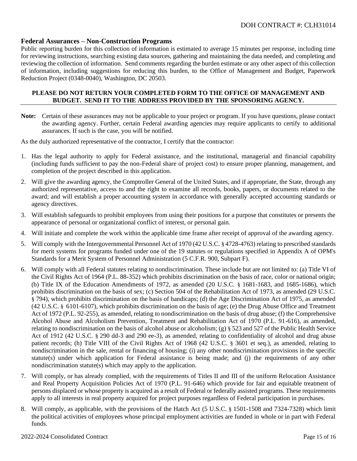## <span id="page-14-0"></span>**Federal Assurances – Non-Construction Programs**

Public reporting burden for this collection of information is estimated to average 15 minutes per response, including time for reviewing instructions, searching existing data sources, gathering and maintaining the data needed, and completing and reviewing the collection of information. Send comments regarding the burden estimate or any other aspect of this collection of information, including suggestions for reducing this burden, to the Office of Management and Budget, Paperwork Reduction Project (0348-0040), Washington, DC 20503.

## **PLEASE DO NOT RETURN YOUR COMPLETED FORM TO THE OFFICE OF MANAGEMENT AND BUDGET. SEND IT TO THE ADDRESS PROVIDED BY THE SPONSORING AGENCY.**

**Note:** Certain of these assurances may not be applicable to your project or program. If you have questions, please contact the awarding agency. Further, certain Federal awarding agencies may require applicants to certify to additional assurances. If such is the case, you will be notified.

As the duly authorized representative of the contractor, I certify that the contractor:

- 1. Has the legal authority to apply for Federal assistance, and the institutional, managerial and financial capability (including funds sufficient to pay the non-Federal share of project cost) to ensure proper planning, management, and completion of the project described in this application.
- 2. Will give the awarding agency, the Comptroller General of the United States, and if appropriate, the State, through any authorized representative, access to and the right to examine all records, books, papers, or documents related to the award; and will establish a proper accounting system in accordance with generally accepted accounting standards or agency directives.
- 3. Will establish safeguards to prohibit employees from using their positions for a purpose that constitutes or presents the appearance of personal or organizational conflict of interest, or personal gain.
- 4. Will initiate and complete the work within the applicable time frame after receipt of approval of the awarding agency.
- 5. Will comply with the Intergovernmental Personnel Act of 1970 (42 U.S.C. § 4728-4763) relating to prescribed standards for merit systems for programs funded under one of the 19 statutes or regulations specified in Appendix A of OPM's Standards for a Merit System of Personnel Administration (5 C.F.R. 900, Subpart F).
- 6. Will comply with all Federal statutes relating to nondiscrimination. These include but are not limited to: (a) Title VI of the Civil Rights Act of 1964 (P.L. 88-352) which prohibits discrimination on the basis of race, color or national origin; (b) Title IX of the Education Amendments of 1972, as amended (20 U.S.C. § 1681-1683, and 1685-1686), which prohibits discrimination on the basis of sex; (c) Section 504 of the Rehabilitation Act of 1973, as amended (29 U.S.C. § 794), which prohibits discrimination on the basis of handicaps; (d) the Age Discrimination Act of 1975, as amended (42 U.S.C. § 6101-6107), which prohibits discrimination on the basis of age; (e) the Drug Abuse Office and Treatment Act of 1972 (P.L. 92-255), as amended, relating to nondiscrimination on the basis of drug abuse; (f) the Comprehensive Alcohol Abuse and Alcoholism Prevention, Treatment and Rehabilitation Act of 1970 (P.L. 91-616), as amended, relating to nondiscrimination on the basis of alcohol abuse or alcoholism; (g) § 523 and 527 of the Public Health Service Act of 1912 (42 U.S.C. § 290 dd-3 and 290 ee-3), as amended, relating to confidentiality of alcohol and drug abuse patient records; (h) Title VIII of the Civil Rights Act of 1968 (42 U.S.C. § 3601 et seq.), as amended, relating to nondiscrimination in the sale, rental or financing of housing; (i) any other nondiscrimination provisions in the specific statute(s) under which application for Federal assistance is being made; and (j) the requirements of any other nondiscrimination statute(s) which may apply to the application.
- 7. Will comply, or has already complied, with the requirements of Titles II and III of the uniform Relocation Assistance and Real Property Acquisition Policies Act of 1970 (P.L. 91-646) which provide for fair and equitable treatment of persons displaced or whose property is acquired as a result of Federal or federally assisted programs. These requirements apply to all interests in real property acquired for project purposes regardless of Federal participation in purchases.
- 8. Will comply, as applicable, with the provisions of the Hatch Act (5 U.S.C. § 1501-1508 and 7324-7328) which limit the political activities of employees whose principal employment activities are funded in whole or in part with Federal funds.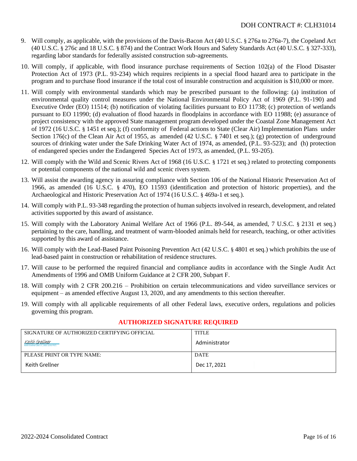- 9. Will comply, as applicable, with the provisions of the Davis-Bacon Act (40 U.S.C. § 276a to 276a-7), the Copeland Act (40 U.S.C. § 276c and 18 U.S.C. § 874) and the Contract Work Hours and Safety Standards Act (40 U.S.C. § 327-333), regarding labor standards for federally assisted construction sub-agreements.
- 10. Will comply, if applicable, with flood insurance purchase requirements of Section 102(a) of the Flood Disaster Protection Act of 1973 (P.L. 93-234) which requires recipients in a special flood hazard area to participate in the program and to purchase flood insurance if the total cost of insurable construction and acquisition is \$10,000 or more.
- 11. Will comply with environmental standards which may be prescribed pursuant to the following: (a) institution of environmental quality control measures under the National Environmental Policy Act of 1969 (P.L. 91-190) and Executive Order (EO) 11514; (b) notification of violating facilities pursuant to EO 11738; (c) protection of wetlands pursuant to EO 11990; (d) evaluation of flood hazards in floodplains in accordance with EO 11988; (e) assurance of project consistency with the approved State management program developed under the Coastal Zone Management Act of 1972 (16 U.S.C. § 1451 et seq.); (f) conformity of Federal actions to State (Clear Air) Implementation Plans under Section 176(c) of the Clean Air Act of 1955, as amended (42 U.S.C. § 7401 et seq.); (g) protection of underground sources of drinking water under the Safe Drinking Water Act of 1974, as amended, (P.L. 93-523); and (h) protection of endangered species under the Endangered Species Act of 1973, as amended, (P.L. 93-205).
- 12. Will comply with the Wild and Scenic Rivers Act of 1968 (16 U.S.C. § 1721 et seq.) related to protecting components or potential components of the national wild and scenic rivers system.
- 13. Will assist the awarding agency in assuring compliance with Section 106 of the National Historic Preservation Act of 1966, as amended (16 U.S.C. § 470), EO 11593 (identification and protection of historic properties), and the Archaeological and Historic Preservation Act of 1974 (16 U.S.C. § 469a-1 et seq.).
- 14. Will comply with P.L. 93-348 regarding the protection of human subjects involved in research, development, and related activities supported by this award of assistance.
- 15. Will comply with the Laboratory Animal Welfare Act of 1966 (P.L. 89-544, as amended, 7 U.S.C. § 2131 et seq.) pertaining to the care, handling, and treatment of warm-blooded animals held for research, teaching, or other activities supported by this award of assistance.
- 16. Will comply with the Lead-Based Paint Poisoning Prevention Act (42 U.S.C. § 4801 et seq.) which prohibits the use of lead-based paint in construction or rehabilitation of residence structures.
- 17. Will cause to be performed the required financial and compliance audits in accordance with the Single Audit Act Amendments of 1996 and OMB Uniform Guidance at 2 CFR 200, Subpart F.
- 18. Will comply with 2 CFR 200.216 Prohibition on certain telecommunications and video surveillance services or equipment – as amended effective August 13, 2020, and any amendments to this section thereafter.
- 19. Will comply with all applicable requirements of all other Federal laws, executive orders, regulations and policies governing this program.

## **AUTHORIZED SIGNATURE REQUIRED**

| SIGNATURE OF AUTHORIZED CERTIFYING OFFICIAL                      | <b>TITLE</b>  |
|------------------------------------------------------------------|---------------|
| <u>Keith Grellner</u><br>Keith Grellner (Dec 17, 2021 12:01 PST) | Administrator |
| PLEASE PRINT OR TYPE NAME:                                       | <b>DATE</b>   |
| Keith Grellner                                                   | Dec 17, 2021  |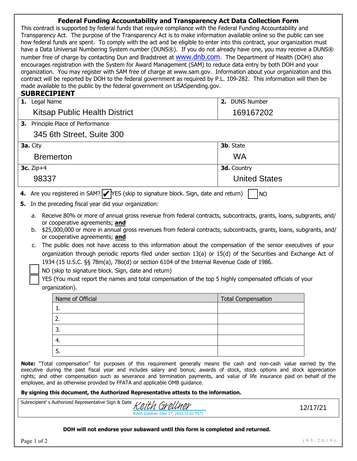## **Federal Funding Accountability and Transparency Act Data Collection Form**

This contract is supported by federal funds that require compliance with the Federal Funding Accountability and Transparency Act. The purpose of the Transparency Act is to make information available online so the public can see how federal funds are spent. To comply with the act and be eligible to enter into this contract, your organization must have a Data Universal Numbering System number (DUNS®). If you do not already have one, you may receive a DUNS® number free of charge by contacting Dun and Bradstreet at WWW.dnb.com. The Department of Health (DOH) also encourages registration with the System for Award Management (SAM) to reduce data entry by both DOH and your organization. You may register with SAM free of charge at www.sam.gov. Information about your organization and this contract will be reported by DOH to the federal government as required by P.L. 109-282. This information will then be made available to the public by the federal government on USASpending.gov.

## **SUBRECIPIENT**

|                                                                                                                                                                                                                                                                                                                                                                                                                                                                  | 1. Legal Name                                                                                                                                                                                                                                                                                                                                                                                                                                                                                                                                                                                                                                                                                                                                                                                                                          |                                                                                                     | 2. DUNS Number            |  |
|------------------------------------------------------------------------------------------------------------------------------------------------------------------------------------------------------------------------------------------------------------------------------------------------------------------------------------------------------------------------------------------------------------------------------------------------------------------|----------------------------------------------------------------------------------------------------------------------------------------------------------------------------------------------------------------------------------------------------------------------------------------------------------------------------------------------------------------------------------------------------------------------------------------------------------------------------------------------------------------------------------------------------------------------------------------------------------------------------------------------------------------------------------------------------------------------------------------------------------------------------------------------------------------------------------------|-----------------------------------------------------------------------------------------------------|---------------------------|--|
|                                                                                                                                                                                                                                                                                                                                                                                                                                                                  |                                                                                                                                                                                                                                                                                                                                                                                                                                                                                                                                                                                                                                                                                                                                                                                                                                        | <b>Kitsap Public Health District</b>                                                                | 169167202                 |  |
|                                                                                                                                                                                                                                                                                                                                                                                                                                                                  |                                                                                                                                                                                                                                                                                                                                                                                                                                                                                                                                                                                                                                                                                                                                                                                                                                        | 3. Principle Place of Performance                                                                   |                           |  |
|                                                                                                                                                                                                                                                                                                                                                                                                                                                                  |                                                                                                                                                                                                                                                                                                                                                                                                                                                                                                                                                                                                                                                                                                                                                                                                                                        | 345 6th Street, Suite 300                                                                           |                           |  |
|                                                                                                                                                                                                                                                                                                                                                                                                                                                                  | 3a. City                                                                                                                                                                                                                                                                                                                                                                                                                                                                                                                                                                                                                                                                                                                                                                                                                               |                                                                                                     | 3b. State                 |  |
|                                                                                                                                                                                                                                                                                                                                                                                                                                                                  |                                                                                                                                                                                                                                                                                                                                                                                                                                                                                                                                                                                                                                                                                                                                                                                                                                        | <b>Bremerton</b>                                                                                    | <b>WA</b>                 |  |
|                                                                                                                                                                                                                                                                                                                                                                                                                                                                  | $3c.$ Zip+4                                                                                                                                                                                                                                                                                                                                                                                                                                                                                                                                                                                                                                                                                                                                                                                                                            |                                                                                                     | 3d. Country               |  |
|                                                                                                                                                                                                                                                                                                                                                                                                                                                                  | 98337                                                                                                                                                                                                                                                                                                                                                                                                                                                                                                                                                                                                                                                                                                                                                                                                                                  |                                                                                                     | <b>United States</b>      |  |
|                                                                                                                                                                                                                                                                                                                                                                                                                                                                  |                                                                                                                                                                                                                                                                                                                                                                                                                                                                                                                                                                                                                                                                                                                                                                                                                                        | 4. Are you registered in SAM? $\triangleright$ YES (skip to signature block. Sign, date and return) | <b>NO</b>                 |  |
| 5.                                                                                                                                                                                                                                                                                                                                                                                                                                                               |                                                                                                                                                                                                                                                                                                                                                                                                                                                                                                                                                                                                                                                                                                                                                                                                                                        | In the preceding fiscal year did your organization:                                                 |                           |  |
|                                                                                                                                                                                                                                                                                                                                                                                                                                                                  | a. Receive 80% or more of annual gross revenue from federal contracts, subcontracts, grants, loans, subgrants, and/<br>or cooperative agreements; and<br>b. \$25,000,000 or more in annual gross revenues from federal contracts, subcontracts, grants, loans, subgrants, and/<br>or cooperative agreements; and<br>The public does not have access to this information about the compensation of the senior executives of your<br>c.<br>organization through periodic reports filed under section 13(a) or 15(d) of the Securities and Exchange Act of<br>1934 (15 U.S.C. §§ 78m(a), 78o(d) or section 6104 of the Internal Revenue Code of 1986.<br>NO (skip to signature block. Sign, date and return)<br>YES (You must report the names and total compensation of the top 5 highly compensated officials of your<br>organization). |                                                                                                     |                           |  |
|                                                                                                                                                                                                                                                                                                                                                                                                                                                                  |                                                                                                                                                                                                                                                                                                                                                                                                                                                                                                                                                                                                                                                                                                                                                                                                                                        | Name of Official                                                                                    | <b>Total Compensation</b> |  |
|                                                                                                                                                                                                                                                                                                                                                                                                                                                                  |                                                                                                                                                                                                                                                                                                                                                                                                                                                                                                                                                                                                                                                                                                                                                                                                                                        | 1.                                                                                                  |                           |  |
|                                                                                                                                                                                                                                                                                                                                                                                                                                                                  |                                                                                                                                                                                                                                                                                                                                                                                                                                                                                                                                                                                                                                                                                                                                                                                                                                        | 2.                                                                                                  |                           |  |
|                                                                                                                                                                                                                                                                                                                                                                                                                                                                  |                                                                                                                                                                                                                                                                                                                                                                                                                                                                                                                                                                                                                                                                                                                                                                                                                                        | 3.                                                                                                  |                           |  |
|                                                                                                                                                                                                                                                                                                                                                                                                                                                                  |                                                                                                                                                                                                                                                                                                                                                                                                                                                                                                                                                                                                                                                                                                                                                                                                                                        | 4.                                                                                                  |                           |  |
|                                                                                                                                                                                                                                                                                                                                                                                                                                                                  |                                                                                                                                                                                                                                                                                                                                                                                                                                                                                                                                                                                                                                                                                                                                                                                                                                        | 5.                                                                                                  |                           |  |
| Note: "Total compensation" for purposes of this requirement generally means the cash and non-cash value earned by the<br>executive during the past fiscal year and includes salary and bonus; awards of stock, stock options and stock appreciation<br>rights; and other compensation such as severance and termination payments, and value of life insurance paid on behalf of the<br>employee, and as otherwise provided by FFATA and applicable OMB guidance. |                                                                                                                                                                                                                                                                                                                                                                                                                                                                                                                                                                                                                                                                                                                                                                                                                                        |                                                                                                     |                           |  |
| By signing this document, the Authorized Representative attests to the information.                                                                                                                                                                                                                                                                                                                                                                              |                                                                                                                                                                                                                                                                                                                                                                                                                                                                                                                                                                                                                                                                                                                                                                                                                                        |                                                                                                     |                           |  |
|                                                                                                                                                                                                                                                                                                                                                                                                                                                                  |                                                                                                                                                                                                                                                                                                                                                                                                                                                                                                                                                                                                                                                                                                                                                                                                                                        | Subrecipient' s Authorized Representative Sign & Date<br>Keith Grellner<br>12/17/21                 |                           |  |

| Name of Official | <b>Total Compensation</b> |
|------------------|---------------------------|
| . .              |                           |
| Ż.               |                           |
|                  |                           |
| 4.               |                           |
|                  |                           |

#### **By signing this document, the Authorized Representative attests to the information.**

## **DOH will not endorse your subaward until this form is completed and returned.**